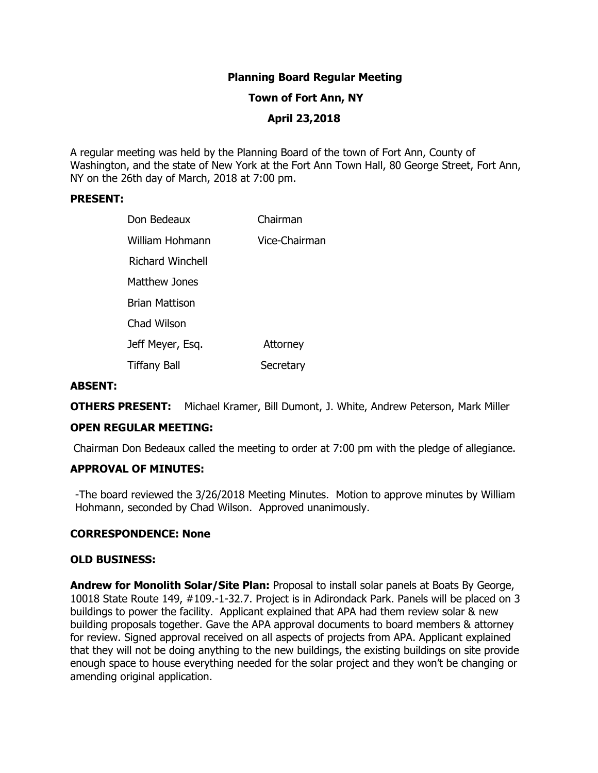# **Planning Board Regular Meeting**

### **Town of Fort Ann, NY**

# **April 23,2018**

A regular meeting was held by the Planning Board of the town of Fort Ann, County of Washington, and the state of New York at the Fort Ann Town Hall, 80 George Street, Fort Ann, NY on the 26th day of March, 2018 at 7:00 pm.

### **PRESENT:**

| Don Bedeaux         | Chairman        |
|---------------------|-----------------|
| William Hohmann     | Vice-Chairman   |
| Richard Winchell    |                 |
| Matthew Jones       |                 |
| Brian Mattison      |                 |
| Chad Wilson         |                 |
| Jeff Meyer, Esq.    | <b>Attorney</b> |
| <b>Tiffany Ball</b> | Secretary       |

### **ABSENT:**

**OTHERS PRESENT:** Michael Kramer, Bill Dumont, J. White, Andrew Peterson, Mark Miller

## **OPEN REGULAR MEETING:**

Chairman Don Bedeaux called the meeting to order at 7:00 pm with the pledge of allegiance.

### **APPROVAL OF MINUTES:**

-The board reviewed the 3/26/2018 Meeting Minutes. Motion to approve minutes by William Hohmann, seconded by Chad Wilson. Approved unanimously.

#### **CORRESPONDENCE: None**

#### **OLD BUSINESS:**

**Andrew for Monolith Solar/Site Plan:** Proposal to install solar panels at Boats By George, 10018 State Route 149, #109.-1-32.7. Project is in Adirondack Park. Panels will be placed on 3 buildings to power the facility. Applicant explained that APA had them review solar & new building proposals together. Gave the APA approval documents to board members & attorney for review. Signed approval received on all aspects of projects from APA. Applicant explained that they will not be doing anything to the new buildings, the existing buildings on site provide enough space to house everything needed for the solar project and they won't be changing or amending original application.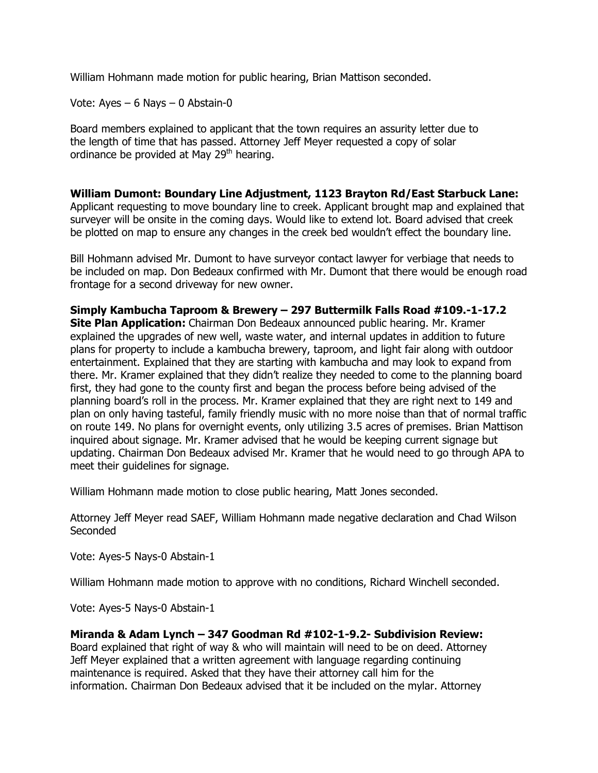William Hohmann made motion for public hearing, Brian Mattison seconded.

Vote: Ayes – 6 Nays – 0 Abstain-0

Board members explained to applicant that the town requires an assurity letter due to the length of time that has passed. Attorney Jeff Meyer requested a copy of solar ordinance be provided at May  $29<sup>th</sup>$  hearing.

**William Dumont: Boundary Line Adjustment, 1123 Brayton Rd/East Starbuck Lane:**  Applicant requesting to move boundary line to creek. Applicant brought map and explained that surveyer will be onsite in the coming days. Would like to extend lot. Board advised that creek be plotted on map to ensure any changes in the creek bed wouldn't effect the boundary line.

Bill Hohmann advised Mr. Dumont to have surveyor contact lawyer for verbiage that needs to be included on map. Don Bedeaux confirmed with Mr. Dumont that there would be enough road frontage for a second driveway for new owner.

**Simply Kambucha Taproom & Brewery – 297 Buttermilk Falls Road #109.-1-17.2 Site Plan Application:** Chairman Don Bedeaux announced public hearing. Mr. Kramer explained the upgrades of new well, waste water, and internal updates in addition to future plans for property to include a kambucha brewery, taproom, and light fair along with outdoor entertainment. Explained that they are starting with kambucha and may look to expand from there. Mr. Kramer explained that they didn't realize they needed to come to the planning board first, they had gone to the county first and began the process before being advised of the planning board's roll in the process. Mr. Kramer explained that they are right next to 149 and plan on only having tasteful, family friendly music with no more noise than that of normal traffic on route 149. No plans for overnight events, only utilizing 3.5 acres of premises. Brian Mattison inquired about signage. Mr. Kramer advised that he would be keeping current signage but updating. Chairman Don Bedeaux advised Mr. Kramer that he would need to go through APA to meet their guidelines for signage.

William Hohmann made motion to close public hearing, Matt Jones seconded.

Attorney Jeff Meyer read SAEF, William Hohmann made negative declaration and Chad Wilson Seconded

Vote: Ayes-5 Nays-0 Abstain-1

William Hohmann made motion to approve with no conditions, Richard Winchell seconded.

Vote: Ayes-5 Nays-0 Abstain-1

# **Miranda & Adam Lynch – 347 Goodman Rd #102-1-9.2- Subdivision Review:**

Board explained that right of way & who will maintain will need to be on deed. Attorney Jeff Meyer explained that a written agreement with language regarding continuing maintenance is required. Asked that they have their attorney call him for the information. Chairman Don Bedeaux advised that it be included on the mylar. Attorney